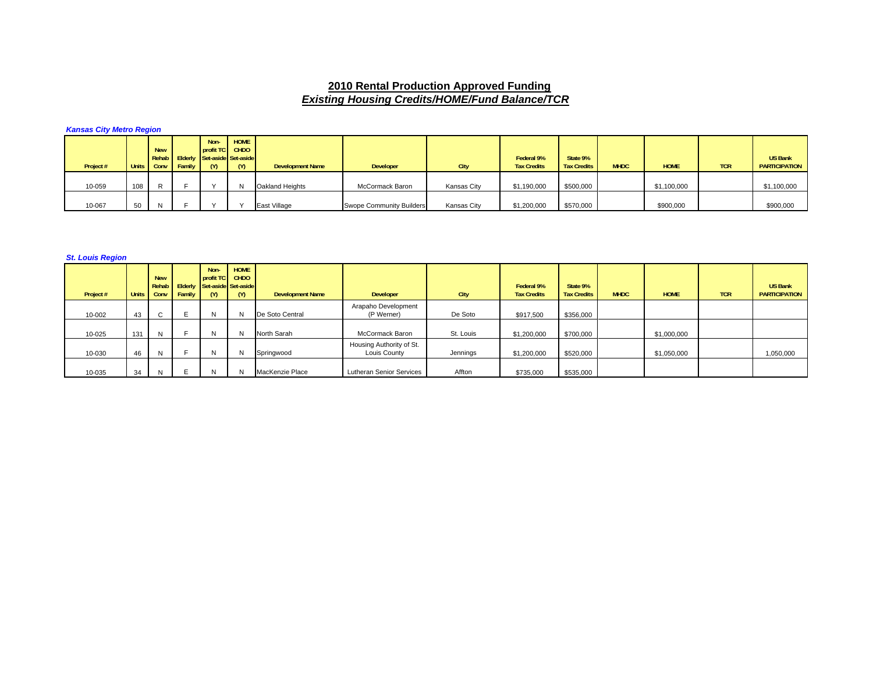## **2010 Rental Production Approved Funding** *Existing Housing Credits/HOME/Fund Balance/TCR*

*Kansas City Metro Region* 

| Project # |     | <b>New</b> | Units Conv Family | Non-<br>profit TC CHDO<br>Rehab Elderly Set-aside Set-aside<br>$\mathsf{M}$ | HOME<br>(M) | <b>Development Name</b> | <b>Developer</b>                | City        | Federal 9%<br><b>Tax Credits</b> | State 9%<br><b>Tax Credits</b> | <b>MHDC</b> | <b>HOME</b> | <b>TCR</b> | <b>US Bank</b><br><b>PARTICIPATION</b> |
|-----------|-----|------------|-------------------|-----------------------------------------------------------------------------|-------------|-------------------------|---------------------------------|-------------|----------------------------------|--------------------------------|-------------|-------------|------------|----------------------------------------|
| 10-059    | 108 | R          |                   |                                                                             |             | Oakland Heights         | McCormack Baron                 | Kansas City | \$1,190,000                      | \$500,000                      |             | \$1,100,000 |            | \$1,100,000                            |
| 10-067    | 50  | N          |                   |                                                                             |             | East Village            | <b>Swope Community Builders</b> | Kansas City | \$1,200,000                      | \$570,000                      |             | \$900,000   |            | \$900,000                              |

*St. Louis Region* 

| Project # | <b>Units</b> | <b>New</b><br>Conv             | Family | Non-<br>profit TC<br>Rehab Elderly Set-aside Set-aside<br>(M) | <b>HOME</b><br><b>CHDO</b><br>(M) | <b>Development Name</b> | Developer                                | City      | Federal 9%<br><b>Tax Credits</b> | State 9%<br><b>Tax Credits</b> | <b>MHDC</b> | <b>HOME</b> | <b>TCR</b> | <b>US Bank</b><br><b>PARTICIPATION</b> |
|-----------|--------------|--------------------------------|--------|---------------------------------------------------------------|-----------------------------------|-------------------------|------------------------------------------|-----------|----------------------------------|--------------------------------|-------------|-------------|------------|----------------------------------------|
| 10-002    | 43           | $\mathbf{\mathbf{\mathsf{c}}}$ |        | ıν                                                            | N.                                | De Soto Central         | Arapaho Development<br>(P Werner)        | De Soto   | \$917,500                        | \$356,000                      |             |             |            |                                        |
| 10-025    | 131          | N                              |        | N                                                             | N                                 | North Sarah             | McCormack Baron                          | St. Louis | \$1,200,000                      | \$700,000                      |             | \$1,000,000 |            |                                        |
| 10-030    | 46           | N                              |        |                                                               | IN.                               | Springwood              | Housing Authority of St.<br>Louis County | Jennings  | \$1,200,000                      | \$520,000                      |             | \$1,050,000 |            | 1,050,000                              |
| 10-035    | 34           | N.                             |        |                                                               |                                   | MacKenzie Place         | Lutheran Senior Services                 | Affton    | \$735,000                        | \$535,000                      |             |             |            |                                        |